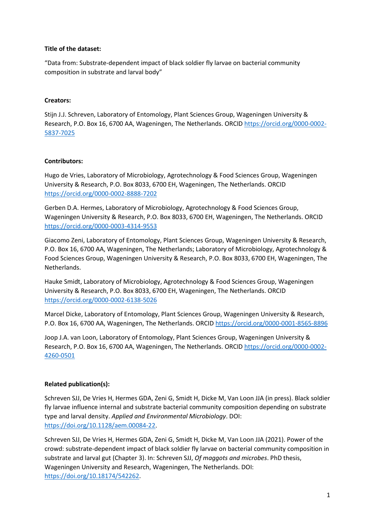# **Title of the dataset:**

"Data from: Substrate-dependent impact of black soldier fly larvae on bacterial community composition in substrate and larval body"

# **Creators:**

Stijn J.J. Schreven, Laboratory of Entomology, Plant Sciences Group, Wageningen University & Research, P.O. Box 16, 6700 AA, Wageningen, The Netherlands. ORCID [https://orcid.org/0000-0002-](https://orcid.org/0000-0002-5837-7025) [5837-7025](https://orcid.org/0000-0002-5837-7025)

# **Contributors:**

Hugo de Vries, Laboratory of Microbiology, Agrotechnology & Food Sciences Group, Wageningen University & Research, P.O. Box 8033, 6700 EH, Wageningen, The Netherlands. ORCID <https://orcid.org/0000-0002-8888-7202>

Gerben D.A. Hermes, Laboratory of Microbiology, Agrotechnology & Food Sciences Group, Wageningen University & Research, P.O. Box 8033, 6700 EH, Wageningen, The Netherlands. ORCID <https://orcid.org/0000-0003-4314-9553>

Giacomo Zeni, Laboratory of Entomology, Plant Sciences Group, Wageningen University & Research, P.O. Box 16, 6700 AA, Wageningen, The Netherlands; Laboratory of Microbiology, Agrotechnology & Food Sciences Group, Wageningen University & Research, P.O. Box 8033, 6700 EH, Wageningen, The Netherlands.

Hauke Smidt, Laboratory of Microbiology, Agrotechnology & Food Sciences Group, Wageningen University & Research, P.O. Box 8033, 6700 EH, Wageningen, The Netherlands. ORCID <https://orcid.org/0000-0002-6138-5026>

Marcel Dicke, Laboratory of Entomology, Plant Sciences Group, Wageningen University & Research, P.O. Box 16, 6700 AA, Wageningen, The Netherlands. ORCID<https://orcid.org/0000-0001-8565-8896>

Joop J.A. van Loon, Laboratory of Entomology, Plant Sciences Group, Wageningen University & Research, P.O. Box 16, 6700 AA, Wageningen, The Netherlands. ORCID [https://orcid.org/0000-0002-](https://orcid.org/0000-0002-4260-0501) [4260-0501](https://orcid.org/0000-0002-4260-0501)

## **Related publication(s):**

Schreven SJJ, De Vries H, Hermes GDA, Zeni G, Smidt H, Dicke M, Van Loon JJA (in press). Black soldier fly larvae influence internal and substrate bacterial community composition depending on substrate type and larval density. *Applied and Environmental Microbiology*. DOI: [https://doi.org/10.1128/aem.00084-22.](https://doi.org/10.1128/aem.00084-22)

Schreven SJJ, De Vries H, Hermes GDA, Zeni G, Smidt H, Dicke M, Van Loon JJA (2021). Power of the crowd: substrate-dependent impact of black soldier fly larvae on bacterial community composition in substrate and larval gut (Chapter 3). In: Schreven SJJ, *Of maggots and microbes*. PhD thesis, Wageningen University and Research, Wageningen, The Netherlands. DOI: [https://doi.org/10.18174/542262.](https://doi.org/10.18174/542262)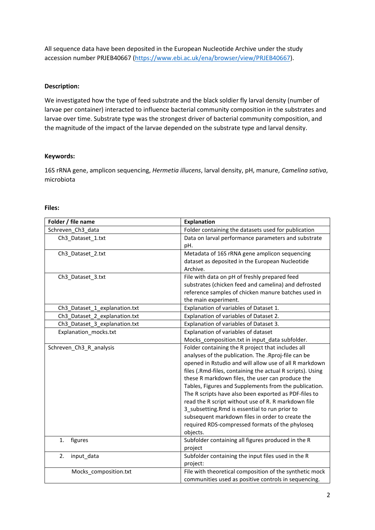All sequence data have been deposited in the European Nucleotide Archive under the study accession number PRJEB40667 [\(https://www.ebi.ac.uk/ena/browser/view/PRJEB40667\)](https://www.ebi.ac.uk/ena/browser/view/PRJEB40667).

## **Description:**

We investigated how the type of feed substrate and the black soldier fly larval density (number of larvae per container) interacted to influence bacterial community composition in the substrates and larvae over time. Substrate type was the strongest driver of bacterial community composition, and the magnitude of the impact of the larvae depended on the substrate type and larval density.

## **Keywords:**

16S rRNA gene, amplicon sequencing, *Hermetia illucens*, larval density, pH, manure, *Camelina sativa*, microbiota

| Folder / file name            | <b>Explanation</b>                                         |
|-------------------------------|------------------------------------------------------------|
| Schreven Ch3 data             | Folder containing the datasets used for publication        |
| Ch3_Dataset_1.txt             | Data on larval performance parameters and substrate        |
|                               | pH.                                                        |
| Ch3 Dataset 2.txt             | Metadata of 16S rRNA gene amplicon sequencing              |
|                               | dataset as deposited in the European Nucleotide            |
|                               | Archive.                                                   |
| Ch3_Dataset_3.txt             | File with data on pH of freshly prepared feed              |
|                               | substrates (chicken feed and camelina) and defrosted       |
|                               | reference samples of chicken manure batches used in        |
|                               | the main experiment.                                       |
| Ch3_Dataset_1_explanation.txt | Explanation of variables of Dataset 1.                     |
| Ch3 Dataset 2 explanation.txt | Explanation of variables of Dataset 2.                     |
| Ch3_Dataset_3_explanation.txt | Explanation of variables of Dataset 3.                     |
| Explanation mocks.txt         | Explanation of variables of dataset                        |
|                               | Mocks_composition.txt in input_data subfolder.             |
| Schreven_Ch3_R_analysis       | Folder containing the R project that includes all          |
|                               | analyses of the publication. The .Rproj-file can be        |
|                               | opened in Rstudio and will allow use of all R markdown     |
|                               | files (.Rmd-files, containing the actual R scripts). Using |
|                               | these R markdown files, the user can produce the           |
|                               | Tables, Figures and Supplements from the publication.      |
|                               | The R scripts have also been exported as PDF-files to      |
|                               | read the R script without use of R. R markdown file        |
|                               | 3 subsetting.Rmd is essential to run prior to              |
|                               | subsequent markdown files in order to create the           |
|                               | required RDS-compressed formats of the phyloseq            |
|                               | objects.                                                   |
| figures<br>1.                 | Subfolder containing all figures produced in the R         |
|                               | project                                                    |
| 2.<br>input_data              | Subfolder containing the input files used in the R         |
|                               | project:                                                   |
| Mocks composition.txt         | File with theoretical composition of the synthetic mock    |
|                               | communities used as positive controls in sequencing.       |

#### **Files:**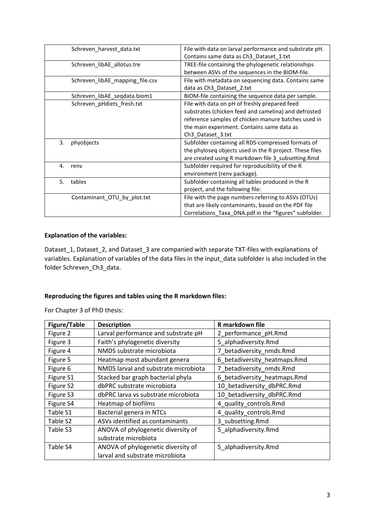| Schreven harvest data.txt       | File with data on larval performance and substrate pH.<br>Contains same data as Ch3 Dataset 1.txt      |
|---------------------------------|--------------------------------------------------------------------------------------------------------|
| Schreven_libAE_allotus.tre      | TREE-file containing the phylogenetic relationships<br>between ASVs of the sequences in the BIOM-file. |
| Schreven_libAE_mapping_file.csv | File with metadata on sequencing data. Contains same<br>data as Ch3_Dataset_2.txt                      |
| Schreven libAE segdata.biom1    | BIOM-file containing the sequence data per sample.                                                     |
| Schreven_pHdiets_fresh.txt      | File with data on pH of freshly prepared feed                                                          |
|                                 | substrates (chicken feed and camelina) and defrosted                                                   |
|                                 | reference samples of chicken manure batches used in                                                    |
|                                 | the main experiment. Contains same data as                                                             |
|                                 | Ch3_Dataset_3.txt                                                                                      |
| 3.<br>phyobjects                | Subfolder containing all RDS-compressed formats of                                                     |
|                                 | the phyloseq objects used in the R project. These files                                                |
|                                 | are created using R markdown file 3_subsetting.Rmd                                                     |
| 4.<br>renv                      | Subfolder required for reproducibility of the R                                                        |
|                                 | environment (renv package).                                                                            |
| tables<br>5.                    | Subfolder containing all tables produced in the R                                                      |
|                                 | project, and the following file:                                                                       |
| Contaminant_OTU_by_plot.txt     | File with the page numbers referring to ASVs (OTUs)                                                    |
|                                 | that are likely contaminants, based on the PDF file                                                    |
|                                 | Correlations_Taxa_DNA.pdf in the "figures" subfolder.                                                  |

# **Explanation of the variables:**

Dataset\_1, Dataset\_2, and Dataset\_3 are companied with separate TXT-files with explanations of variables. Explanation of variables of the data files in the input\_data subfolder is also included in the folder Schreven\_Ch3\_data.

# **Reproducing the figures and tables using the R markdown files:**

For Chapter 3 of PhD thesis:

| <b>Figure/Table</b> | <b>Description</b>                   | R markdown file              |
|---------------------|--------------------------------------|------------------------------|
| Figure 2            | Larval performance and substrate pH  | 2_performance_pH.Rmd         |
| Figure 3            | Faith's phylogenetic diversity       | 5_alphadiversity.Rmd         |
| Figure 4            | NMDS substrate microbiota            | 7_betadiversity_nmds.Rmd     |
| Figure 5            | Heatmap most abundant genera         | 6_betadiversity_heatmaps.Rmd |
| Figure 6            | NMDS larval and substrate microbiota | 7_betadiversity_nmds.Rmd     |
| Figure S1           | Stacked bar graph bacterial phyla    | 6_betadiversity_heatmaps.Rmd |
| Figure S2           | dbPRC substrate microbiota           | 10_betadiversity_dbPRC.Rmd   |
| Figure S3           | dbPRC larva vs substrate microbiota  | 10 betadiversity dbPRC.Rmd   |
| Figure S4           | Heatmap of biofilms                  | 4 quality controls.Rmd       |
| Table S1            | Bacterial genera in NTCs             | 4_quality_controls.Rmd       |
| Table S2            | ASVs identified as contaminants      | 3 subsetting.Rmd             |
| Table S3            | ANOVA of phylogenetic diversity of   | 5 alphadiversity.Rmd         |
|                     | substrate microbiota                 |                              |
| Table S4            | ANOVA of phylogenetic diversity of   | 5 alphadiversity.Rmd         |
|                     | larval and substrate microbiota      |                              |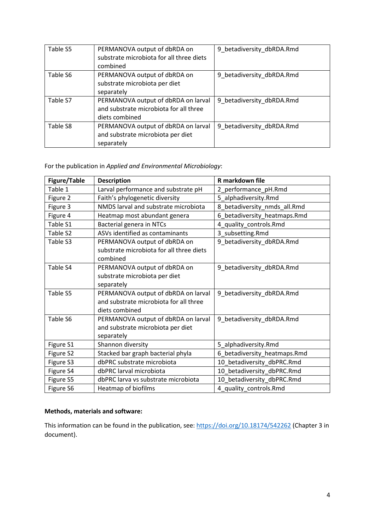| Table S5 | PERMANOVA output of dbRDA on<br>substrate microbiota for all three diets<br>combined            | 9 betadiversity dbRDA.Rmd |
|----------|-------------------------------------------------------------------------------------------------|---------------------------|
| Table S6 | PERMANOVA output of dbRDA on<br>substrate microbiota per diet<br>separately                     | 9 betadiversity dbRDA.Rmd |
| Table S7 | PERMANOVA output of dbRDA on larval<br>and substrate microbiota for all three<br>diets combined | 9_betadiversity_dbRDA.Rmd |
| Table S8 | PERMANOVA output of dbRDA on larval<br>and substrate microbiota per diet<br>separately          | 9_betadiversity_dbRDA.Rmd |

# For the publication in *Applied and Environmental Microbiology*:

| <b>Figure/Table</b> | <b>Description</b>                                                                              | <b>R</b> markdown file       |
|---------------------|-------------------------------------------------------------------------------------------------|------------------------------|
| Table 1             | Larval performance and substrate pH                                                             | 2_performance_pH.Rmd         |
| Figure 2            | Faith's phylogenetic diversity                                                                  | 5_alphadiversity.Rmd         |
| Figure 3            | NMDS larval and substrate microbiota                                                            | 8_betadiversity_nmds_all.Rmd |
| Figure 4            | Heatmap most abundant genera                                                                    | 6_betadiversity_heatmaps.Rmd |
| Table S1            | Bacterial genera in NTCs                                                                        | 4_quality_controls.Rmd       |
| Table S2            | ASVs identified as contaminants                                                                 | 3_subsetting.Rmd             |
| Table S3            | PERMANOVA output of dbRDA on<br>substrate microbiota for all three diets<br>combined            | 9_betadiversity_dbRDA.Rmd    |
| Table S4            | PERMANOVA output of dbRDA on<br>substrate microbiota per diet<br>separately                     | 9_betadiversity_dbRDA.Rmd    |
| Table S5            | PERMANOVA output of dbRDA on larval<br>and substrate microbiota for all three<br>diets combined | 9_betadiversity_dbRDA.Rmd    |
| Table S6            | PERMANOVA output of dbRDA on larval<br>and substrate microbiota per diet<br>separately          | 9_betadiversity_dbRDA.Rmd    |
| Figure S1           | Shannon diversity                                                                               | 5_alphadiversity.Rmd         |
| Figure S2           | Stacked bar graph bacterial phyla                                                               | 6_betadiversity_heatmaps.Rmd |
| Figure S3           | dbPRC substrate microbiota                                                                      | 10_betadiversity_dbPRC.Rmd   |
| Figure S4           | dbPRC larval microbiota                                                                         | 10_betadiversity_dbPRC.Rmd   |
| Figure S5           | dbPRC larva vs substrate microbiota                                                             | 10_betadiversity_dbPRC.Rmd   |
| Figure S6           | Heatmap of biofilms                                                                             | 4_quality_controls.Rmd       |

# **Methods, materials and software:**

This information can be found in the publication, see:<https://doi.org/10.18174/542262> (Chapter 3 in document).